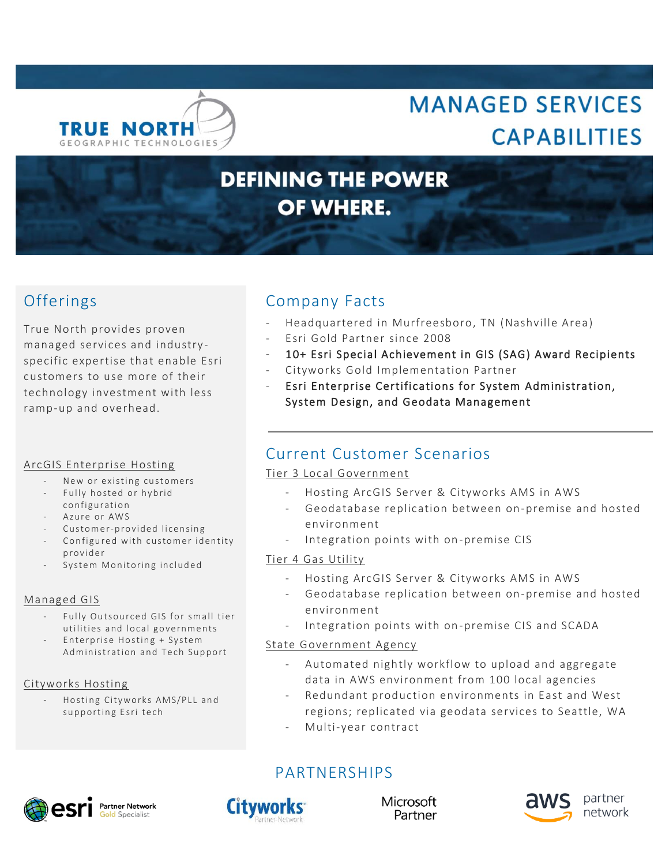

# **MANAGED SERVICES CAPABILITIES**

# **DEFINING THE POWER** OF WHERE.

True North provides proven managed services and industry specific expertise that enable Esri customers to use more of their technology investment with less ramp-up and overhead.

## ArcGIS Enterprise Hosting

- New or existing customers
- Fully hosted or hybrid
- configuration
- Azure or AWS
- Customer-provided licensing
- Configured with customer identity provider
- System Monitoring included

## Managed GIS

- Fully Outsourced GIS for small tier utilities and local governments
- Enterprise Hosting + System Administration and Tech Support

## Cityworks Hosting

Hosting Cityworks AMS/PLL and supporting Esri tech

# Offerings Company Facts

- Headquartered in Murfreesboro, TN (Nashville Area)
- Esri Gold Partner since 2008
- 10+ Esri Special Achievement in GIS (SAG) Award Recipients
- Cityworks Gold Implementation Partner
- Esri Enterprise Certifications for System Administration, System Design, and Geodata Management

# Current Customer Scenarios

## Tier 3 Local Government

- Hosting ArcGIS Server & Cityworks AMS in AWS
- Geodatabase replication between on-premise and hosted environment
- Integration points with on-premise CIS

## Tier 4 Gas Utility

- Hosting ArcGIS Server & Cityworks AMS in AWS
- Geodatabase replication between on-premise and hosted environment
- Integration points with on-premise CIS and SCADA

#### State Government Agency

- Automated nightly workflow to upload and aggregate data in AWS environment from 100 local agencies
- Redundant production environments in East and West regions; replicated via geodata services to Seattle, WA
- Multi-year contract

PARTNERSHIPS





Microsoft Partner